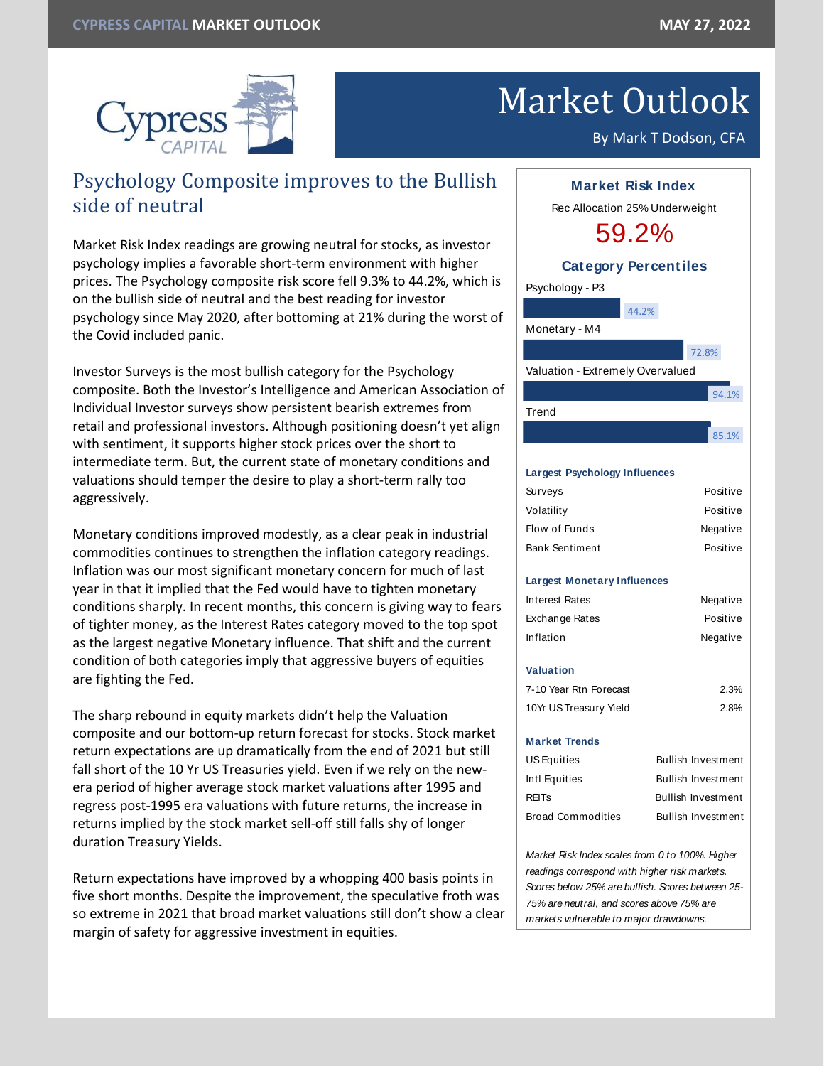

# Market Outlook

By Mark T Dodson, CFA

# Psychology Composite improves to the Bullish side of neutral

Market Risk Index readings are growing neutral for stocks, as investor psychology implies a favorable short-term environment with higher prices. The Psychology composite risk score fell 9.3% to 44.2%, which is on the bullish side of neutral and the best reading for investor psychology since May 2020, after bottoming at 21% during the worst of the Covid included panic.

Investor Surveys is the most bullish category for the Psychology composite. Both the Investor's Intelligence and American Association of Individual Investor surveys show persistent bearish extremes from retail and professional investors. Although positioning doesn't yet align with sentiment, it supports higher stock prices over the short to intermediate term. But, the current state of monetary conditions and valuations should temper the desire to play a short-term rally too aggressively.

Monetary conditions improved modestly, as a clear peak in industrial commodities continues to strengthen the inflation category readings. Inflation was our most significant monetary concern for much of last year in that it implied that the Fed would have to tighten monetary conditions sharply. In recent months, this concern is giving way to fears of tighter money, as the Interest Rates category moved to the top spot as the largest negative Monetary influence. That shift and the current condition of both categories imply that aggressive buyers of equities are fighting the Fed.

The sharp rebound in equity markets didn't help the Valuation composite and our bottom-up return forecast for stocks. Stock market return expectations are up dramatically from the end of 2021 but still fall short of the 10 Yr US Treasuries yield. Even if we rely on the newera period of higher average stock market valuations after 1995 and regress post-1995 era valuations with future returns, the increase in returns implied by the stock market sell-off still falls shy of longer duration Treasury Yields.

Return expectations have improved by a whopping 400 basis points in five short months. Despite the improvement, the speculative froth was so extreme in 2021 that broad market valuations still don't show a clear margin of safety for aggressive investment in equities.



*readings correspond with higher risk markets. Scores below 25% are bullish. Scores between 25- 75% are neutral, and scores above 75% are markets vulnerable to major drawdowns.*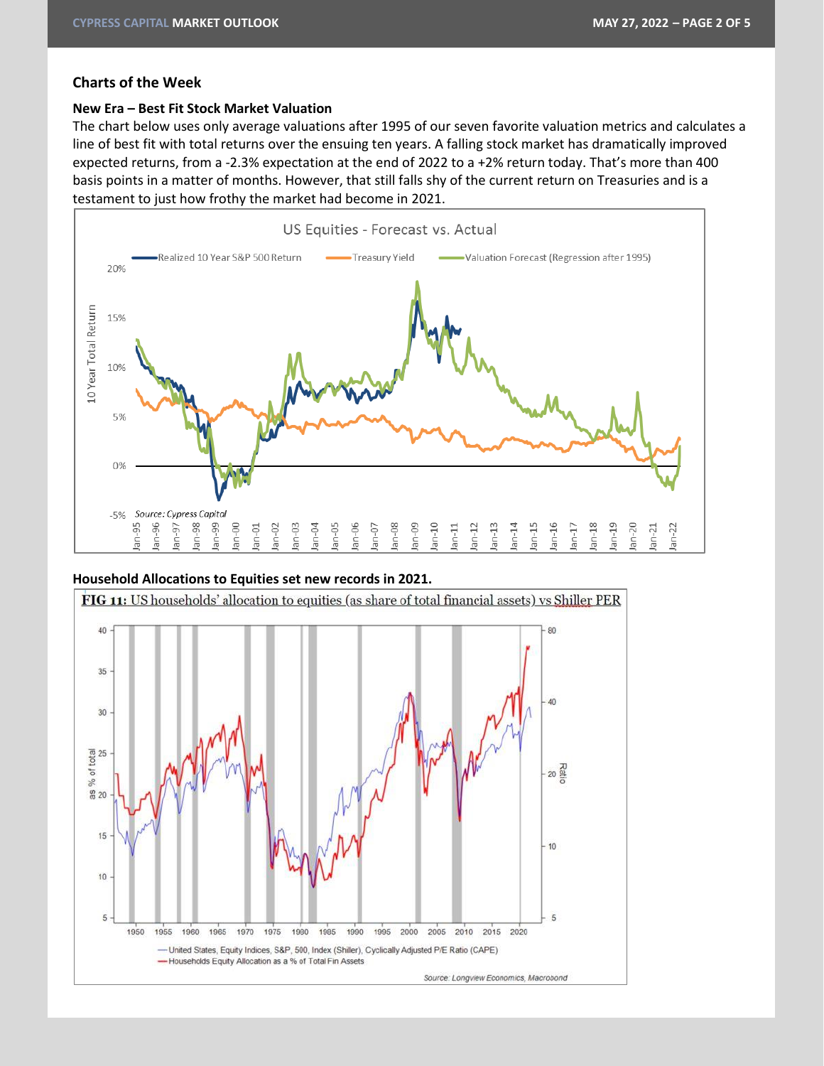#### **Charts of the Week**

#### **New Era – Best Fit Stock Market Valuation**

The chart below uses only average valuations after 1995 of our seven favorite valuation metrics and calculates a line of best fit with total returns over the ensuing ten years. A falling stock market has dramatically improved expected returns, from a -2.3% expectation at the end of 2022 to a +2% return today. That's more than 400 basis points in a matter of months. However, that still falls shy of the current return on Treasuries and is a testament to just how frothy the market had become in 2021.



#### **Household Allocations to Equities set new records in 2021.**

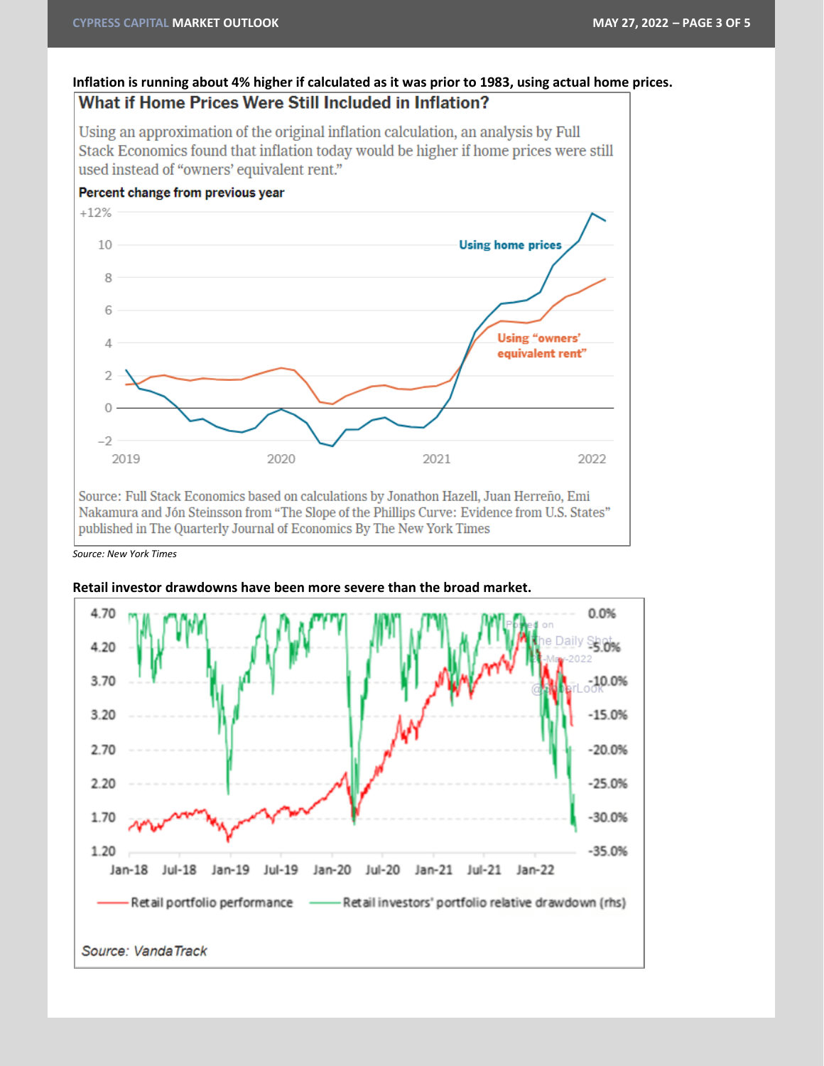## Inflation is running about 4% higher if calculated as it was prior to 1983, using actual home prices. What if Home Prices Were Still Included in Inflation?

Using an approximation of the original inflation calculation, an analysis by Full Stack Economics found that inflation today would be higher if home prices were still used instead of "owners' equivalent rent."



Source: Full Stack Economics based on calculations by Jonathon Hazell, Juan Herreño, Emi Nakamura and Jón Steinsson from "The Slope of the Phillips Curve: Evidence from U.S. States" published in The Quarterly Journal of Economics By The New York Times

*Source: New York Times*



#### **Retail investor drawdowns have been more severe than the broad market.**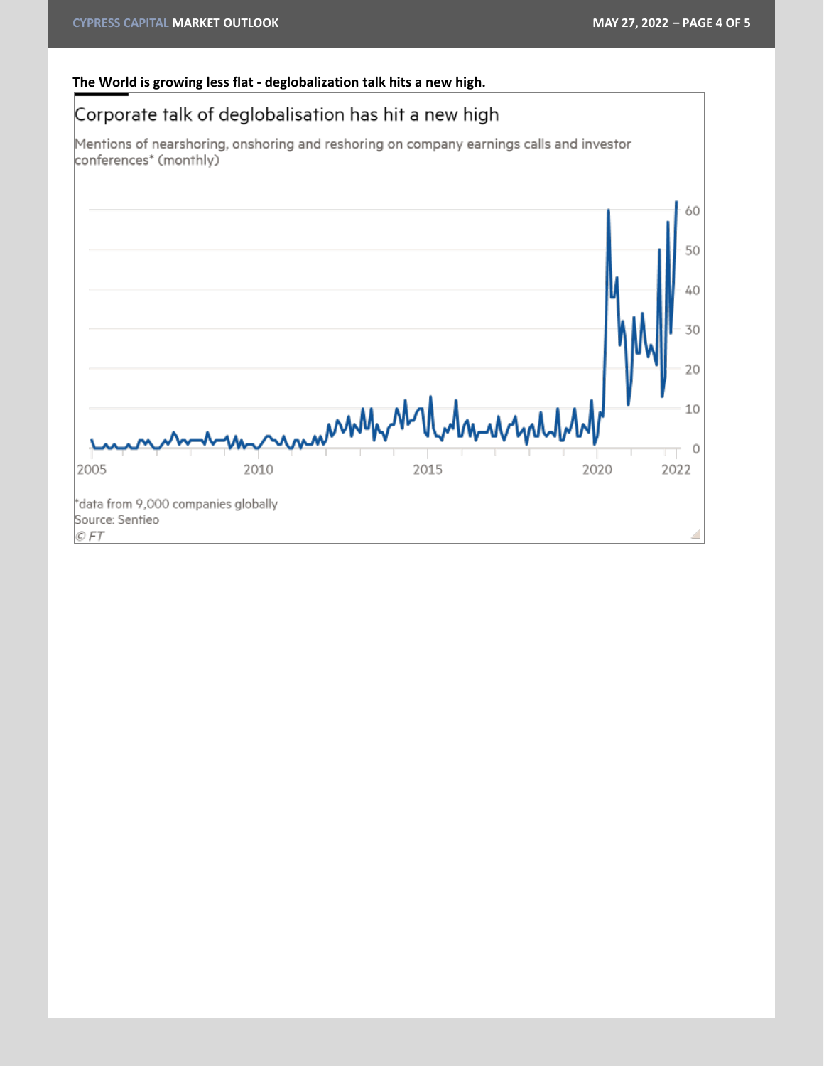## **The World is growing less flat - deglobalization talk hits a new high.**